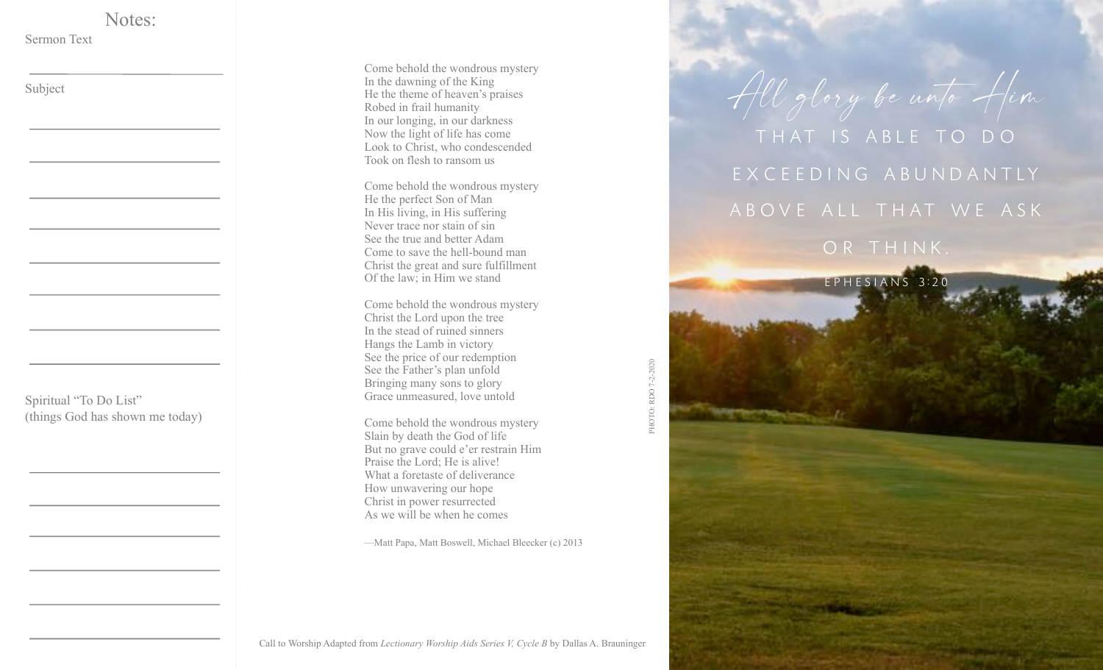# Notes:

### Sermon Text

Subject

Spiritual "To Do List" (things God has shown me today) Come behold the wondrous mystery In the dawning of the King He the theme of heaven's praises Robed in frail humanity In our longing, in our darkness Now the light of life has come Look to Christ, who condescended Took on flesh to ransom us

Come behold the wondrous mystery He the perfect Son of Man In His living, in His suffering Never trace nor stain of sin See the true and better Adam Come to save the hell-bound man Christ the great and sure fulfillment Of the law; in Him we stand

Come behold the wondrous mystery Christ the Lord upon the tree In the stead of ruined sinners Hangs the Lamb in victory See the price of our redemption See the Father's plan unfold Bringing many sons to glory Grace unmeasured, love untold

Come behold the wondrous mystery Slain by death the God of life But no grave could e'er restrain Him Praise the Lord; He is alive! What a foretaste of deliverance How unwavering our hope Christ in power resurrected As we will be when he comes

—Matt Papa, Matt Boswell, Michael Bleecker (c) 2013

# that is able to do exceeding abundantly above all that we ask All glory be unto Him

OR THINK.

ephesians 3:20

PHOTO: RDO 7-2-2020 PHOTO: RDO 7-2-2020

Call to Worship Adapted from *Lectionary Worship Aids Series V, Cycle B* by Dallas A. Brauninger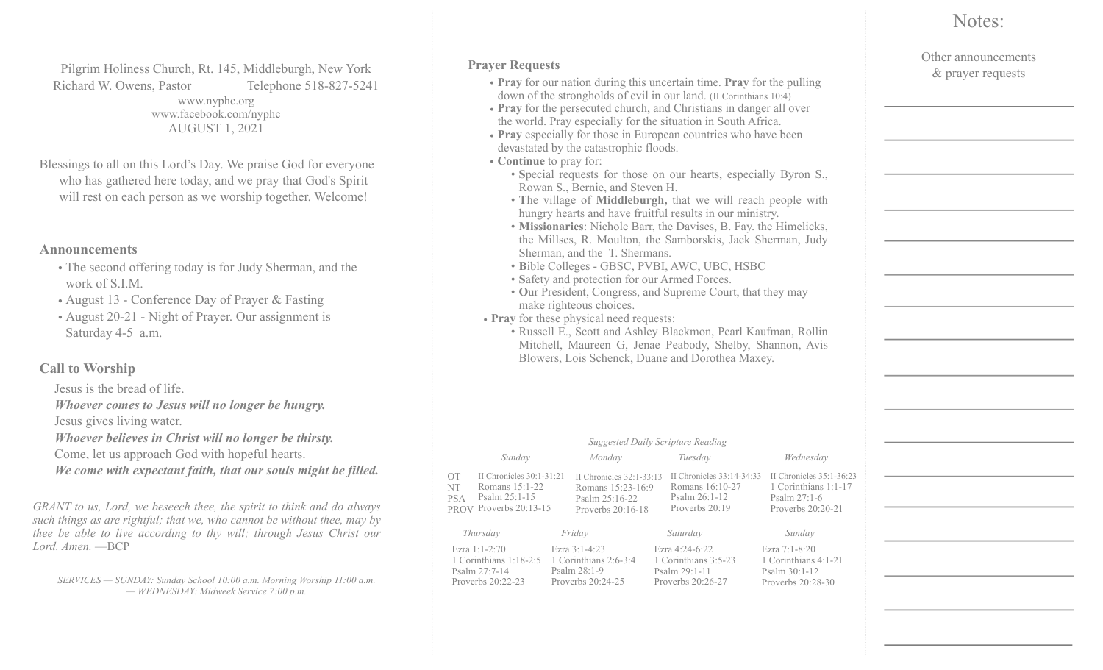## Notes:

Other announcements & prayer requests

Pilgrim Holiness Church, Rt. 145, Middleburgh, New York Richard W. Owens, Pastor Telephone 518-827-5241

> www.nyphc.org www.facebook.com/nyphc AUGUST 1, 2021

Blessings to all on this Lord's Day. We praise God for everyone who has gathered here today, and we pray that God's Spirit will rest on each person as we worship together. Welcome!

#### **Announcements**

- The second offering today is for Judy Sherman, and the work of S.I.M.
- August 13 Conference Day of Prayer & Fasting
- August 20-21 Night of Prayer. Our assignment is Saturday 4-5 a.m.

## **Call to Worship**

Jesus is the bread of life.

*Whoever comes to Jesus will no longer be hungry.*

Jesus gives living water.

*Whoever believes in Christ will no longer be thirsty.*

Come, let us approach God with hopeful hearts.

*We come with expectant faith, that our souls might be filled.*

*GRANT to us, Lord, we beseech thee, the spirit to think and do always such things as are rightful; that we, who cannot be without thee, may by thee be able to live according to thy will; through Jesus Christ our*  Lord. Amen. - BCP

*SERVICES — SUNDAY: Sunday School 10:00 a.m. Morning Worship 11:00 a.m. — WEDNESDAY: Midweek Service 7:00 p.m.*

#### **Prayer Requests**

- **Pray** for our nation during this uncertain time. **Pray** for the pulling down of the strongholds of evil in our land. (II Corinthians 10:4)
- **Pray** for the persecuted church, and Christians in danger all over the world. Pray especially for the situation in South Africa.
- **Pray** especially for those in European countries who have been devastated by the catastrophic floods.
- **Continue** to pray for:
	- **S**pecial requests for those on our hearts, especially Byron S., Rowan S., Bernie, and Steven H.
	- **T**he village of **Middleburgh,** that we will reach people with hungry hearts and have fruitful results in our ministry.
	- **Missionaries**: Nichole Barr, the Davises, B. Fay. the Himelicks, the Millses, R. Moulton, the Samborskis, Jack Sherman, Judy Sherman, and the T. Shermans.
	- **B**ible Colleges GBSC, PVBI, AWC, UBC, HSBC
	- **S**afety and protection for our Armed Forces.
	- **O**ur President, Congress, and Supreme Court, that they may make righteous choices.
- **Pray** for these physical need requests:
	- Russell E., Scott and Ashley Blackmon, Pearl Kaufman, Rollin Mitchell, Maureen G, Jenae Peabody, Shelby, Shannon, Avis Blowers, Lois Schenck, Duane and Dorothea Maxey.

| Suggested Daily Scripture Reading                                                   |                                                                                                    |                                                                                   |                                                                                          |  |                                                                                   |                                                                                             |
|-------------------------------------------------------------------------------------|----------------------------------------------------------------------------------------------------|-----------------------------------------------------------------------------------|------------------------------------------------------------------------------------------|--|-----------------------------------------------------------------------------------|---------------------------------------------------------------------------------------------|
| Sunday                                                                              |                                                                                                    |                                                                                   | Mondav                                                                                   |  | Tuesday                                                                           | Wednesdav                                                                                   |
| $\overline{OT}$<br>NT<br><b>PSA</b>                                                 | II Chronicles $30:1-31:21$<br>Romans 15:1-22<br>Psalm $25:1-15$<br><b>PROV</b> Proverbs $20:13-15$ |                                                                                   | II Chronicles 32:1-33:13<br>Romans 15:23-16:9<br>Psalm $25:16-22$<br>Proverbs $20:16-18$ |  | II Chronicles 33:14-34:33<br>Romans 16:10-27<br>Psalm $26:1-12$<br>Proverbs 20:19 | II Chronicles $35:1-36:23$<br>1 Corinthians 1:1-17<br>Psalm $27:1-6$<br>Proverbs $20:20-21$ |
| Thursday                                                                            |                                                                                                    |                                                                                   | Fridav                                                                                   |  | Saturday                                                                          | Sunday                                                                                      |
| Ezra $1:1-2:70$<br>1 Corinthians $1:18-2:5$<br>Psalm 27:7-14<br>Proverbs $20:22-23$ |                                                                                                    | Ezra $3:1-4:23$<br>1 Corinthians $2:6-3:4$<br>Psalm 28:1-9<br>Proverbs $20.24-25$ |                                                                                          |  | Ezra 4:24-6:22<br>1 Corinthians 3:5-23<br>Psalm 29:1-11<br>Proverbs $20:26-27$    | Ezra $7:1-8:20$<br>1 Corinthians 4:1-21<br>Psalm 30:1-12<br>Proverbs $20.28-30$             |